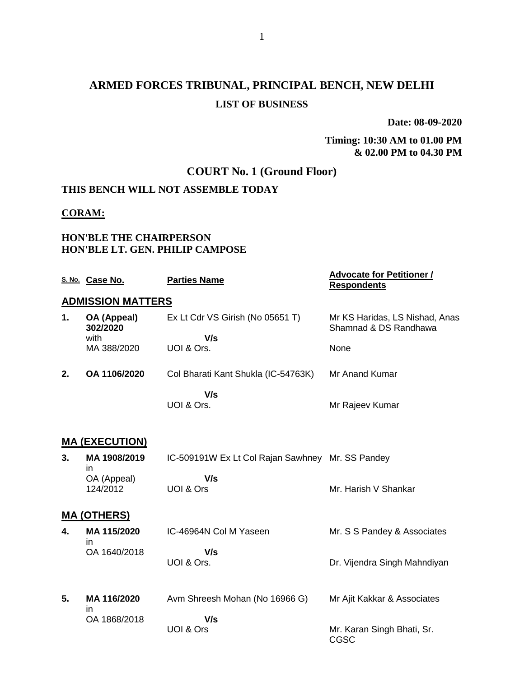# **ARMED FORCES TRIBUNAL, PRINCIPAL BENCH, NEW DELHI LIST OF BUSINESS**

**Date: 08-09-2020**

#### **Timing: 10:30 AM to 01.00 PM & 02.00 PM to 04.30 PM**

# **COURT No. 1 (Ground Floor)**

# **THIS BENCH WILL NOT ASSEMBLE TODAY**

#### **CORAM:**

### **HON'BLE THE CHAIRPERSON HON'BLE LT. GEN. PHILIP CAMPOSE**

|    | S. No. Case No.          | <b>Parties Name</b>                              | <b>Advocate for Petitioner /</b><br><b>Respondents</b>  |
|----|--------------------------|--------------------------------------------------|---------------------------------------------------------|
|    | <b>ADMISSION MATTERS</b> |                                                  |                                                         |
| 1. | OA (Appeal)<br>302/2020  | Ex Lt Cdr VS Girish (No 05651 T)                 | Mr KS Haridas, LS Nishad, Anas<br>Shamnad & DS Randhawa |
|    | with<br>MA 388/2020      | V/s<br>UOI & Ors.                                | None                                                    |
|    |                          |                                                  |                                                         |
| 2. | OA 1106/2020             | Col Bharati Kant Shukla (IC-54763K)              | Mr Anand Kumar                                          |
|    |                          | V/s                                              |                                                         |
|    |                          | UOI & Ors.                                       | Mr Rajeev Kumar                                         |
|    |                          |                                                  |                                                         |
|    | <b>MA (EXECUTION)</b>    |                                                  |                                                         |
| 3. | MA 1908/2019<br>in       | IC-509191W Ex Lt Col Rajan Sawhney Mr. SS Pandey |                                                         |
|    | OA (Appeal)              | V/s<br>UOI & Ors                                 | Mr. Harish V Shankar                                    |
|    | 124/2012                 |                                                  |                                                         |
|    | <b>MA (OTHERS)</b>       |                                                  |                                                         |
| 4. | MA 115/2020              | IC-46964N Col M Yaseen                           | Mr. S S Pandey & Associates                             |
|    | in<br>OA 1640/2018       | V/s                                              |                                                         |
|    |                          | UOI & Ors.                                       | Dr. Vijendra Singh Mahndiyan                            |
|    |                          |                                                  |                                                         |
| 5. | MA 116/2020              | Avm Shreesh Mohan (No 16966 G)                   | Mr Ajit Kakkar & Associates                             |
|    | in<br>OA 1868/2018       | V/s                                              |                                                         |
|    |                          | UOI & Ors                                        | Mr. Karan Singh Bhati, Sr.<br><b>CGSC</b>               |
|    |                          |                                                  |                                                         |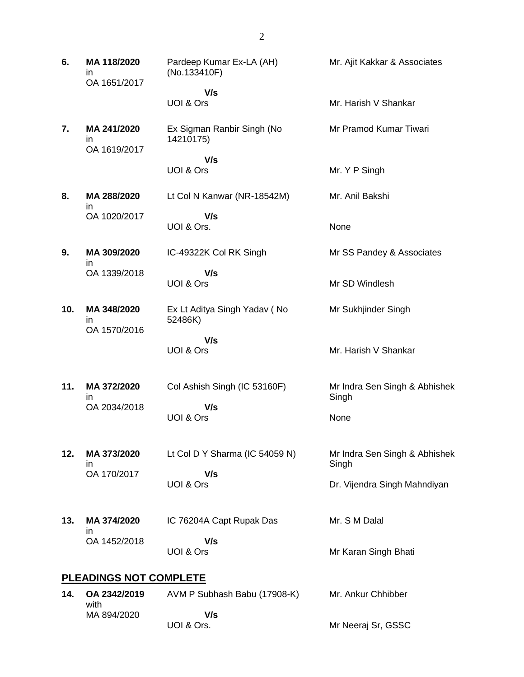| 6.  | MA 118/2020<br>in.<br>OA 1651/2017 | Pardeep Kumar Ex-LA (AH)<br>(No.133410F) | Mr. Ajit Kakkar & Associates           |
|-----|------------------------------------|------------------------------------------|----------------------------------------|
|     |                                    | V/s                                      |                                        |
|     |                                    | UOI & Ors                                | Mr. Harish V Shankar                   |
| 7.  | MA 241/2020<br>in.<br>OA 1619/2017 | Ex Sigman Ranbir Singh (No<br>14210175)  | Mr Pramod Kumar Tiwari                 |
|     |                                    | V/s<br>UOI & Ors                         | Mr. Y P Singh                          |
| 8.  | MA 288/2020                        | Lt Col N Kanwar (NR-18542M)              | Mr. Anil Bakshi                        |
|     | in.<br>OA 1020/2017                | V/s<br>UOI & Ors.                        | None                                   |
| 9.  | MA 309/2020                        | IC-49322K Col RK Singh                   | Mr SS Pandey & Associates              |
|     | ın<br>OA 1339/2018                 | V/s<br>UOI & Ors                         | Mr SD Windlesh                         |
| 10. | MA 348/2020<br>ın<br>OA 1570/2016  | Ex Lt Aditya Singh Yadav (No<br>52486K)  | Mr Sukhjinder Singh                    |
|     |                                    | V/s<br>UOI & Ors                         | Mr. Harish V Shankar                   |
| 11. | MA 372/2020<br>ın                  | Col Ashish Singh (IC 53160F)             | Mr Indra Sen Singh & Abhishek<br>Singh |
|     | OA 2034/2018                       | V/s<br>UOI & Ors                         | None                                   |
| 12. | MA 373/2020<br>ın                  | Lt Col D Y Sharma (IC 54059 N)           | Mr Indra Sen Singh & Abhishek<br>Singh |
|     | OA 170/2017                        | V/s<br>UOI & Ors                         | Dr. Vijendra Singh Mahndiyan           |
| 13. | MA 374/2020<br>ın                  | IC 76204A Capt Rupak Das                 | Mr. S M Dalal                          |
|     | OA 1452/2018                       | V/s<br>UOI & Ors                         | Mr Karan Singh Bhati                   |
|     | <b>PLEADINGS NOT COMPLETE</b>      |                                          |                                        |
| 14. | OA 2342/2019                       | AVM P Subhash Babu (17908-K)             | Mr. Ankur Chhibber                     |
|     | with<br>MA 894/2020                | V/s                                      |                                        |

Mr Neeraj Sr, GSSC

UOI & Ors.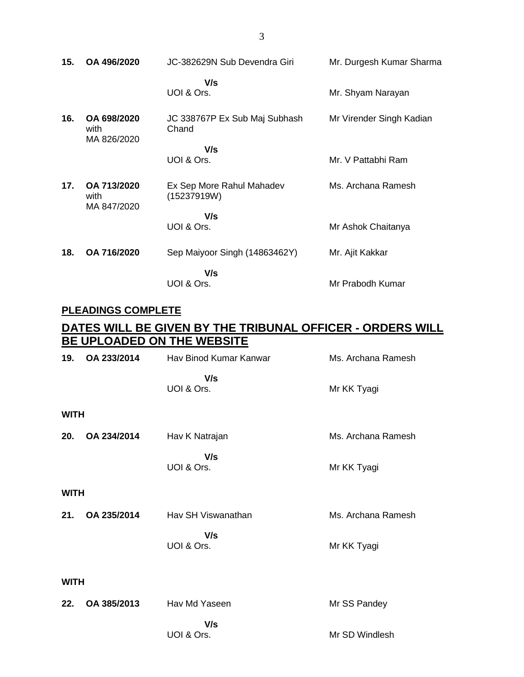| 15. | OA 496/2020                        | JC-382629N Sub Devendra Giri             | Mr. Durgesh Kumar Sharma |
|-----|------------------------------------|------------------------------------------|--------------------------|
|     |                                    | V/s<br>UOI & Ors.                        | Mr. Shyam Narayan        |
| 16. | OA 698/2020<br>with<br>MA 826/2020 | JC 338767P Ex Sub Maj Subhash<br>Chand   | Mr Virender Singh Kadian |
|     |                                    | V/s<br>UOI & Ors.                        | Mr. V Pattabhi Ram       |
| 17. | OA 713/2020<br>with<br>MA 847/2020 | Ex Sep More Rahul Mahadev<br>(15237919W) | Ms. Archana Ramesh       |
|     |                                    | V/s<br>UOI & Ors.                        | Mr Ashok Chaitanya       |
| 18. | OA 716/2020                        | Sep Maiyoor Singh (14863462Y)            | Mr. Ajit Kakkar          |
|     |                                    | V/s<br>UOI & Ors.                        | Mr Prabodh Kumar         |

# **PLEADINGS COMPLETE**

## **DATES WILL BE GIVEN BY THE TRIBUNAL OFFICER - ORDERS WILL BE UPLOADED ON THE WEBSITE**

| 19.         | OA 233/2014 | Hav Binod Kumar Kanwar | Ms. Archana Ramesh |
|-------------|-------------|------------------------|--------------------|
|             |             | V/s<br>UOI & Ors.      | Mr KK Tyagi        |
| <b>WITH</b> |             |                        |                    |
| 20.         | OA 234/2014 | Hav K Natrajan         | Ms. Archana Ramesh |
|             |             | V/s<br>UOI & Ors.      | Mr KK Tyagi        |
| <b>WITH</b> |             |                        |                    |
| 21.         | OA 235/2014 | Hav SH Viswanathan     | Ms. Archana Ramesh |
|             |             | V/s<br>UOI & Ors.      | Mr KK Tyagi        |
| <b>WITH</b> |             |                        |                    |
| 22.         | OA 385/2013 | Hav Md Yaseen          | Mr SS Pandey       |
|             |             | V/s<br>UOI & Ors.      | Mr SD Windlesh     |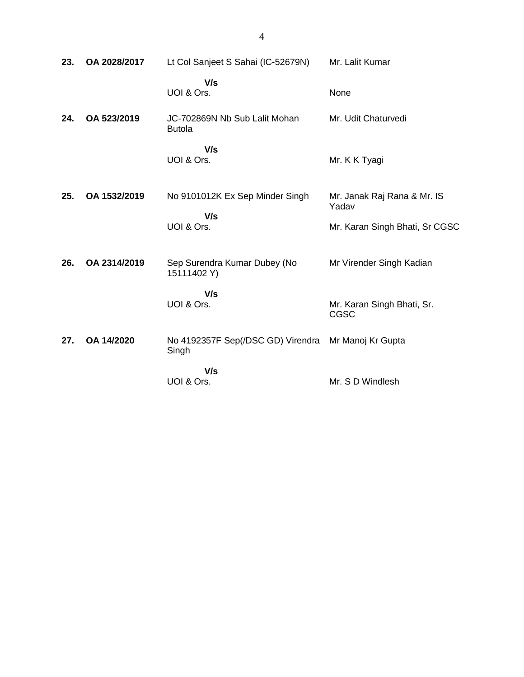| 23. | OA 2028/2017 | Lt Col Sanjeet S Sahai (IC-52679N)                           | Mr. Lalit Kumar                           |
|-----|--------------|--------------------------------------------------------------|-------------------------------------------|
|     |              | V/s<br>UOI & Ors.                                            | None                                      |
| 24. | OA 523/2019  | JC-702869N Nb Sub Lalit Mohan<br><b>Butola</b>               | Mr. Udit Chaturvedi                       |
|     |              | V/s<br>UOI & Ors.                                            | Mr. K K Tyagi                             |
| 25. | OA 1532/2019 | No 9101012K Ex Sep Minder Singh                              | Mr. Janak Raj Rana & Mr. IS<br>Yadav      |
|     |              | V/s<br>UOI & Ors.                                            | Mr. Karan Singh Bhati, Sr CGSC            |
| 26. | OA 2314/2019 | Sep Surendra Kumar Dubey (No<br>15111402 Y)                  | Mr Virender Singh Kadian                  |
|     |              | V/s<br>UOI & Ors.                                            | Mr. Karan Singh Bhati, Sr.<br><b>CGSC</b> |
| 27. | OA 14/2020   | No 4192357F Sep(/DSC GD) Virendra Mr Manoj Kr Gupta<br>Singh |                                           |
|     |              | V/s<br>UOI & Ors.                                            | Mr. S D Windlesh                          |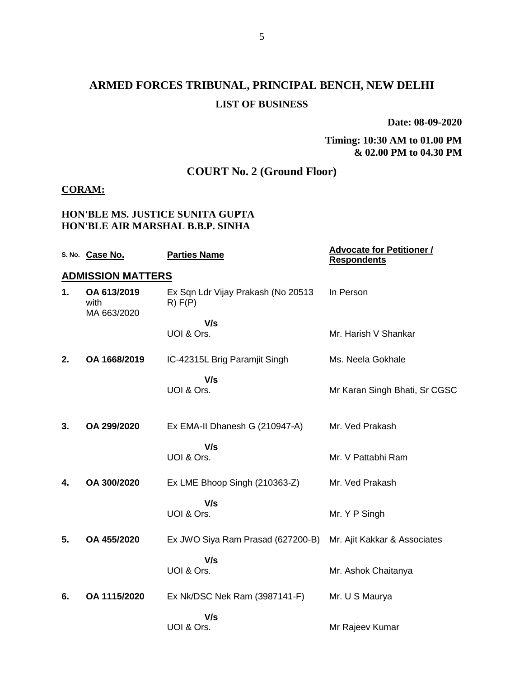# **ARMED FORCES TRIBUNAL, PRINCIPAL BENCH, NEW DELHI LIST OF BUSINESS**

**Date: 08-09-2020**

#### **Timing: 10:30 AM to 01.00 PM & 02.00 PM to 04.30 PM**

## **COURT No. 2 (Ground Floor)**

### **CORAM:**

#### **HON'BLE MS. JUSTICE SUNITA GUPTA HON'BLE AIR MARSHAL B.B.P. SINHA**

|    | S. No. Case No.                    | <b>Parties Name</b>                           | <b>Advocate for Petitioner /</b><br><b>Respondents</b> |
|----|------------------------------------|-----------------------------------------------|--------------------------------------------------------|
|    | <b>ADMISSION MATTERS</b>           |                                               |                                                        |
| 1. | OA 613/2019<br>with<br>MA 663/2020 | Ex Sqn Ldr Vijay Prakash (No 20513<br>R) F(P) | In Person                                              |
|    |                                    | V/s                                           |                                                        |
|    |                                    | UOI & Ors.                                    | Mr. Harish V Shankar                                   |
| 2. | OA 1668/2019                       | IC-42315L Brig Paramjit Singh                 | Ms. Neela Gokhale                                      |
|    |                                    | V/s                                           |                                                        |
|    |                                    | UOI & Ors.                                    | Mr Karan Singh Bhati, Sr CGSC                          |
| 3. | OA 299/2020                        | Ex EMA-II Dhanesh G (210947-A)                | Mr. Ved Prakash                                        |
|    |                                    |                                               |                                                        |
|    |                                    | V/s<br>UOI & Ors.                             |                                                        |
|    |                                    |                                               | Mr. V Pattabhi Ram                                     |
| 4. | OA 300/2020                        | Ex LME Bhoop Singh (210363-Z)                 | Mr. Ved Prakash                                        |
|    |                                    | V/s                                           |                                                        |
|    |                                    | UOI & Ors.                                    | Mr. Y P Singh                                          |
| 5. | OA 455/2020                        | Ex JWO Siya Ram Prasad (627200-B)             | Mr. Ajit Kakkar & Associates                           |
|    |                                    | V/s                                           |                                                        |
|    |                                    | UOI & Ors.                                    | Mr. Ashok Chaitanya                                    |
|    |                                    |                                               |                                                        |
| 6. | OA 1115/2020                       | Ex Nk/DSC Nek Ram (3987141-F)                 | Mr. U S Maurya                                         |
|    |                                    | V/s                                           |                                                        |
|    |                                    | UOI & Ors.                                    | Mr Rajeev Kumar                                        |
|    |                                    |                                               |                                                        |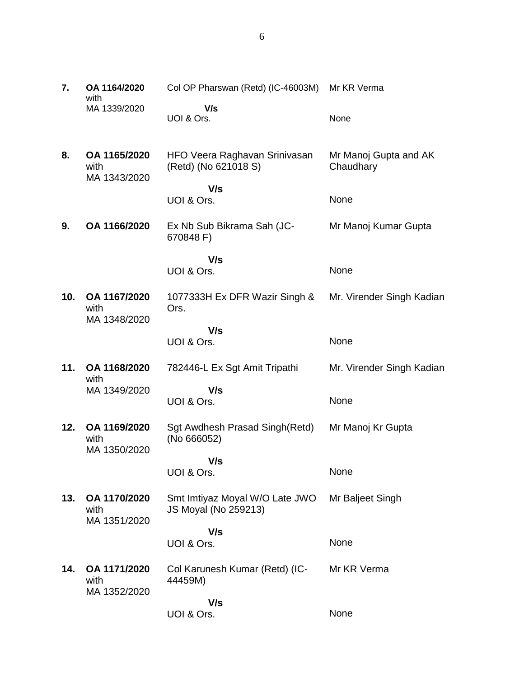| 7.  | OA 1164/2020<br>with                 | Col OP Pharswan (Retd) (IC-46003M)                     | Mr KR Verma                        |
|-----|--------------------------------------|--------------------------------------------------------|------------------------------------|
|     | MA 1339/2020                         | V/s<br>UOI & Ors.                                      | None                               |
| 8.  | OA 1165/2020<br>with<br>MA 1343/2020 | HFO Veera Raghavan Srinivasan<br>(Retd) (No 621018 S)  | Mr Manoj Gupta and AK<br>Chaudhary |
|     |                                      | V/s<br>UOI & Ors.                                      | None                               |
| 9.  | OA 1166/2020                         | Ex Nb Sub Bikrama Sah (JC-<br>670848 F)                | Mr Manoj Kumar Gupta               |
|     |                                      | V/s<br>UOI & Ors.                                      | None                               |
| 10. | OA 1167/2020<br>with<br>MA 1348/2020 | 1077333H Ex DFR Wazir Singh &<br>Ors.                  | Mr. Virender Singh Kadian          |
|     |                                      | V/s<br>UOI & Ors.                                      | None                               |
| 11. | OA 1168/2020<br>with                 | 782446-L Ex Sgt Amit Tripathi                          | Mr. Virender Singh Kadian          |
|     | MA 1349/2020                         | V/s<br>UOI & Ors.                                      | None                               |
| 12. | OA 1169/2020<br>with<br>MA 1350/2020 | Sgt Awdhesh Prasad Singh(Retd)<br>(No 666052)          | Mr Manoj Kr Gupta                  |
|     |                                      | V/s<br>UOI & Ors.                                      | None                               |
| 13. | OA 1170/2020<br>with<br>MA 1351/2020 | Smt Imtiyaz Moyal W/O Late JWO<br>JS Moyal (No 259213) | Mr Baljeet Singh                   |
|     |                                      | V/s<br>UOI & Ors.                                      | None                               |
| 14. | OA 1171/2020<br>with<br>MA 1352/2020 | Col Karunesh Kumar (Retd) (IC-<br>44459M)              | Mr KR Verma                        |
|     |                                      | V/s<br>UOI & Ors.                                      | None                               |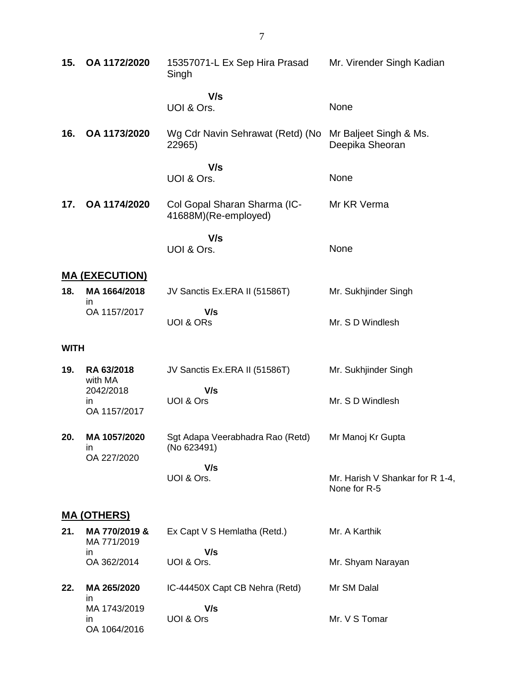| 15.         | OA 1172/2020                       | 15357071-L Ex Sep Hira Prasad<br>Singh               | Mr. Virender Singh Kadian                       |  |  |  |
|-------------|------------------------------------|------------------------------------------------------|-------------------------------------------------|--|--|--|
|             |                                    | V/s<br>UOI & Ors.                                    | None                                            |  |  |  |
| 16.         | OA 1173/2020                       | Wg Cdr Navin Sehrawat (Retd) (No<br>22965)           | Mr Baljeet Singh & Ms.<br>Deepika Sheoran       |  |  |  |
|             |                                    | V/s<br>UOI & Ors.                                    | None                                            |  |  |  |
| 17.         | OA 1174/2020                       | Col Gopal Sharan Sharma (IC-<br>41688M)(Re-employed) | Mr KR Verma                                     |  |  |  |
|             |                                    | V/s<br>UOI & Ors.                                    | None                                            |  |  |  |
|             | <b>MA (EXECUTION)</b>              |                                                      |                                                 |  |  |  |
| 18.         | MA 1664/2018                       | JV Sanctis Ex.ERA II (51586T)                        | Mr. Sukhjinder Singh                            |  |  |  |
|             | in<br>OA 1157/2017                 | V/s<br><b>UOI &amp; ORS</b>                          | Mr. S D Windlesh                                |  |  |  |
| <b>WITH</b> |                                    |                                                      |                                                 |  |  |  |
| 19.         | RA 63/2018<br>with MA              | JV Sanctis Ex.ERA II (51586T)                        | Mr. Sukhjinder Singh                            |  |  |  |
|             | 2042/2018<br>in<br>OA 1157/2017    | V/s<br>UOI & Ors                                     | Mr. S D Windlesh                                |  |  |  |
| 20.         | MA 1057/2020<br>ın                 | Sgt Adapa Veerabhadra Rao (Retd)<br>(No 623491)      | Mr Manoj Kr Gupta                               |  |  |  |
|             | OA 227/2020                        | V/s<br>UOI & Ors.                                    | Mr. Harish V Shankar for R 1-4,<br>None for R-5 |  |  |  |
|             | <u>MA (OTHERS)</u>                 |                                                      |                                                 |  |  |  |
| 21.         | MA 770/2019 &<br>MA 771/2019<br>in | Ex Capt V S Hemlatha (Retd.)<br>V/s                  | Mr. A Karthik                                   |  |  |  |
|             | OA 362/2014                        | UOI & Ors.                                           | Mr. Shyam Narayan                               |  |  |  |
| 22.         | MA 265/2020<br>in                  | IC-44450X Capt CB Nehra (Retd)                       | Mr SM Dalal                                     |  |  |  |
|             | MA 1743/2019<br>in<br>OA 1064/2016 | V/s<br>UOI & Ors                                     | Mr. V S Tomar                                   |  |  |  |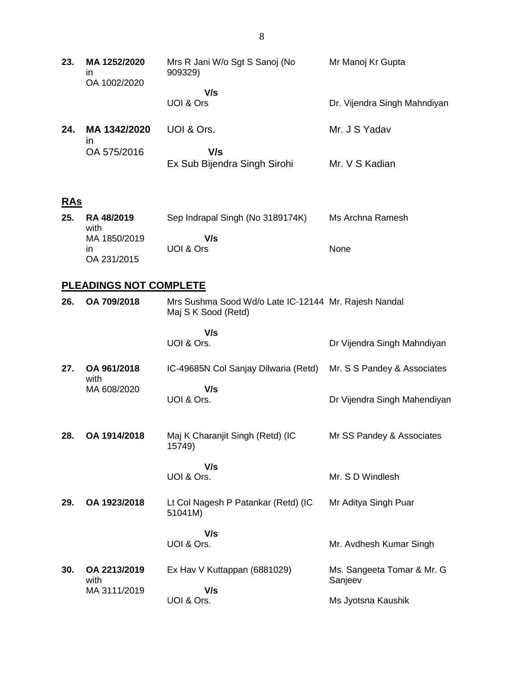| 23.        | MA 1252/2020<br>in<br>OA 1002/2020 | Mrs R Jani W/o Sgt S Sanoj (No<br>909329)                                   | Mr Manoj Kr Gupta                     |
|------------|------------------------------------|-----------------------------------------------------------------------------|---------------------------------------|
|            |                                    | V/s<br>UOI & Ors                                                            | Dr. Vijendra Singh Mahndiyan          |
| 24.        | MA 1342/2020<br><i>in</i>          | UOI & Ors.                                                                  | Mr. J S Yadav                         |
|            | OA 575/2016                        | V/s<br>Ex Sub Bijendra Singh Sirohi                                         | Mr. V S Kadian                        |
| <u>RAs</u> |                                    |                                                                             |                                       |
| 25.        | RA 48/2019<br>with                 | Sep Indrapal Singh (No 3189174K)                                            | Ms Archna Ramesh                      |
|            | MA 1850/2019<br>in<br>OA 231/2015  | V/s<br>UOI & Ors                                                            | None                                  |
|            | <b>PLEADINGS NOT COMPLETE</b>      |                                                                             |                                       |
| 26.        | OA 709/2018                        | Mrs Sushma Sood Wd/o Late IC-12144 Mr. Rajesh Nandal<br>Maj S K Sood (Retd) |                                       |
|            |                                    | V/s<br>UOI & Ors.                                                           | Dr Vijendra Singh Mahndiyan           |
| 27.        | OA 961/2018<br>with                | IC-49685N Col Sanjay Dilwaria (Retd)                                        | Mr. S S Pandey & Associates           |
|            | MA 608/2020                        | V/s<br>UOI & Ors.                                                           | Dr Vijendra Singh Mahendiyan          |
| 28.        | OA 1914/2018                       | Maj K Charanjit Singh (Retd) (IC<br>15749)                                  | Mr SS Pandey & Associates             |
|            |                                    | V/s<br>UOI & Ors.                                                           | Mr. S D Windlesh                      |
| 29.        | OA 1923/2018                       | Lt Col Nagesh P Patankar (Retd) (IC<br>51041M)                              | Mr Aditya Singh Puar                  |
|            |                                    | V/s<br>UOI & Ors.                                                           | Mr. Avdhesh Kumar Singh               |
| 30.        | OA 2213/2019<br>with               | Ex Hav V Kuttappan (6881029)                                                | Ms. Sangeeta Tomar & Mr. G<br>Sanjeev |

MA 3111/2019

 **V/s**

UOI & Ors.

Ms Jyotsna Kaushik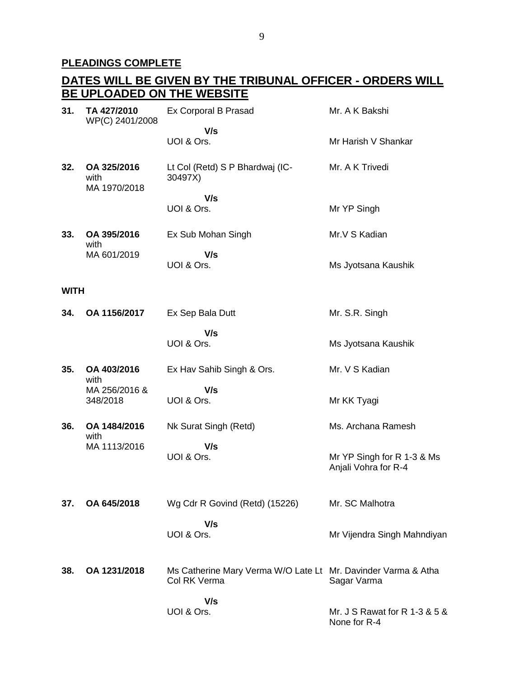#### **PLEADINGS COMPLETE**

#### **DATES WILL BE GIVEN BY THE TRIBUNAL OFFICER - ORDERS WILL BE UPLOADED ON THE WEBSITE 31. TA 427/2010** WP(C) 2401/2008 Ex Corporal B Prasad  **V/s** UOI & Ors. Mr. A K Bakshi Mr Harish V Shankar **32. OA 325/2016** with MA 1970/2018 Lt Col (Retd) S P Bhardwaj (IC-30497X)  **V/s** UOI & Ors. Mr. A K Trivedi Mr YP Singh **33. OA 395/2016** with MA 601/2019 Ex Sub Mohan Singh  **V/s** UOI & Ors. Mr.V S Kadian Ms Jyotsana Kaushik **WITH 34. OA 1156/2017** Ex Sep Bala Dutt  **V/s** UOI & Ors. Mr. S.R. Singh Ms Jyotsana Kaushik **35. OA 403/2016** with MA 256/2016 & 348/2018 Ex Hav Sahib Singh & Ors.  **V/s** UOI & Ors. Mr. V S Kadian Mr KK Tyagi **36. OA 1484/2016** with MA 1113/2016 Nk Surat Singh (Retd)  **V/s** UOI & Ors. Ms. Archana Ramesh Mr YP Singh for R 1-3 & Ms Anjali Vohra for R-4 **37. OA 645/2018** Wg Cdr R Govind (Retd) (15226)  **V/s** UOI & Ors. Mr. SC Malhotra Mr Vijendra Singh Mahndiyan **38. OA 1231/2018** Ms Catherine Mary Verma W/O Late Lt Mr. Davinder Varma & Atha Col RK Verma  **V/s** UOI & Ors. Sagar Varma Mr. J S Rawat for R 1-3 & 5 & None for R-4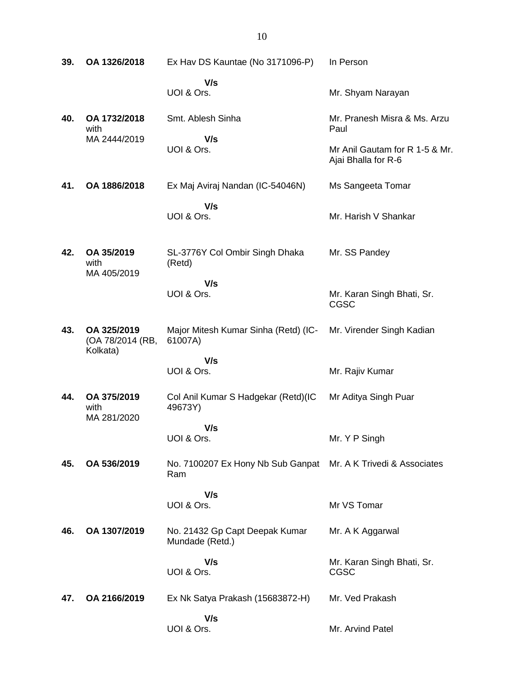| 39. | OA 1326/2018                                | Ex Hav DS Kauntae (No 3171096-P)                  | In Person                                             |
|-----|---------------------------------------------|---------------------------------------------------|-------------------------------------------------------|
|     |                                             | V/s<br>UOI & Ors.                                 | Mr. Shyam Narayan                                     |
| 40. | OA 1732/2018<br>with                        | Smt. Ablesh Sinha                                 | Mr. Pranesh Misra & Ms. Arzu<br>Paul                  |
|     | MA 2444/2019                                | V/s<br>UOI & Ors.                                 | Mr Anil Gautam for R 1-5 & Mr.<br>Ajai Bhalla for R-6 |
| 41. | OA 1886/2018                                | Ex Maj Aviraj Nandan (IC-54046N)                  | Ms Sangeeta Tomar                                     |
|     |                                             | V/s<br>UOI & Ors.                                 | Mr. Harish V Shankar                                  |
| 42. | OA 35/2019<br>with<br>MA 405/2019           | SL-3776Y Col Ombir Singh Dhaka<br>(Retd)          | Mr. SS Pandey                                         |
|     |                                             | V/s<br>UOI & Ors.                                 | Mr. Karan Singh Bhati, Sr.<br><b>CGSC</b>             |
| 43. | OA 325/2019<br>(OA 78/2014 (RB,<br>Kolkata) | Major Mitesh Kumar Sinha (Retd) (IC-<br>61007A)   | Mr. Virender Singh Kadian                             |
|     |                                             | V/s<br>UOI & Ors.                                 | Mr. Rajiv Kumar                                       |
| 44. | OA 375/2019<br>with<br>MA 281/2020          | Col Anil Kumar S Hadgekar (Retd)(IC<br>49673Y)    | Mr Aditya Singh Puar                                  |
|     |                                             | V/s<br>UOI & Ors.                                 | Mr. Y P Singh                                         |
| 45. | OA 536/2019                                 | No. 7100207 Ex Hony Nb Sub Ganpat<br>Ram          | Mr. A K Trivedi & Associates                          |
|     |                                             | V/s<br>UOI & Ors.                                 | Mr VS Tomar                                           |
| 46. | OA 1307/2019                                | No. 21432 Gp Capt Deepak Kumar<br>Mundade (Retd.) | Mr. A K Aggarwal                                      |
|     |                                             | V/s<br>UOI & Ors.                                 | Mr. Karan Singh Bhati, Sr.<br>CGSC                    |
| 47. | OA 2166/2019                                | Ex Nk Satya Prakash (15683872-H)                  | Mr. Ved Prakash                                       |
|     |                                             | V/s<br>UOI & Ors.                                 | Mr. Arvind Patel                                      |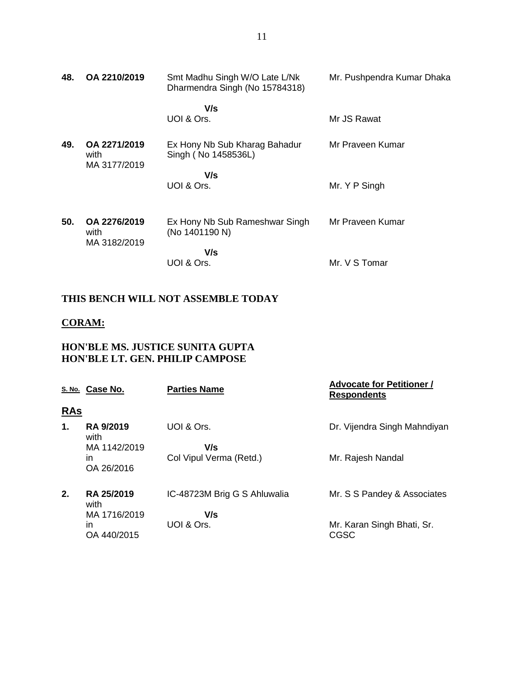| 48. | OA 2210/2019                         | Smt Madhu Singh W/O Late L/Nk<br>Dharmendra Singh (No 15784318) | Mr. Pushpendra Kumar Dhaka |
|-----|--------------------------------------|-----------------------------------------------------------------|----------------------------|
|     |                                      | V/s<br>UOI & Ors.                                               | Mr JS Rawat                |
| 49. | OA 2271/2019<br>with<br>MA 3177/2019 | Ex Hony Nb Sub Kharag Bahadur<br>Singh (No 1458536L)            | Mr Praveen Kumar           |
|     |                                      | V/s<br>UOI & Ors.                                               | Mr. Y P Singh              |
| 50. | OA 2276/2019<br>with<br>MA 3182/2019 | Ex Hony Nb Sub Rameshwar Singh<br>(No 1401190 N)                | Mr Praveen Kumar           |
|     |                                      | V/s<br>UOI & Ors.                                               | Mr. V S Tomar              |

### **THIS BENCH WILL NOT ASSEMBLE TODAY**

### **CORAM:**

### **HON'BLE MS. JUSTICE SUNITA GUPTA HON'BLE LT. GEN. PHILIP CAMPOSE**

|            | S. No. Case No.          | <b>Parties Name</b>          | <b>Advocate for Petitioner /</b><br><b>Respondents</b> |
|------------|--------------------------|------------------------------|--------------------------------------------------------|
| <u>RAs</u> |                          |                              |                                                        |
| 1.         | <b>RA 9/2019</b><br>with | UOI & Ors.                   | Dr. Vijendra Singh Mahndiyan                           |
|            | MA 1142/2019             | V/s                          |                                                        |
|            | in<br>OA 26/2016         | Col Vipul Verma (Retd.)      | Mr. Rajesh Nandal                                      |
| 2.         | RA 25/2019<br>with       | IC-48723M Brig G S Ahluwalia | Mr. S S Pandey & Associates                            |
|            | MA 1716/2019             | V/s                          |                                                        |
|            | in.<br>OA 440/2015       | UOI & Ors.                   | Mr. Karan Singh Bhati, Sr.<br>CGSC                     |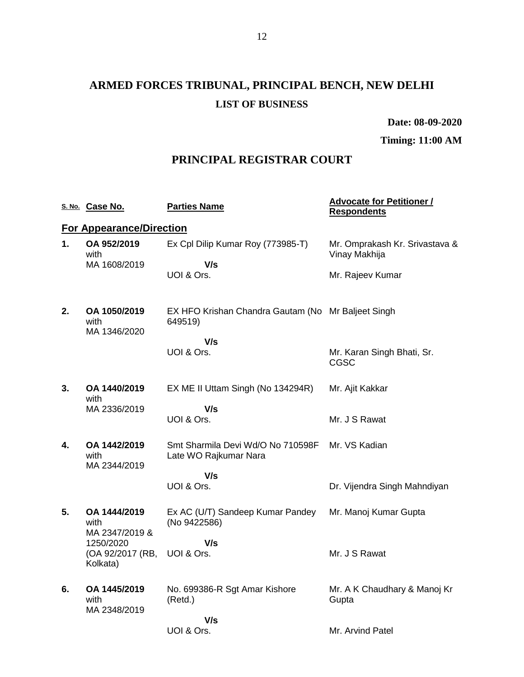# **ARMED FORCES TRIBUNAL, PRINCIPAL BENCH, NEW DELHI LIST OF BUSINESS**

**Date: 08-09-2020**

**Timing: 11:00 AM**

## **PRINCIPAL REGISTRAR COURT**

|                                 | S. No. Case No.                                                                     | <b>Parties Name</b>                                           | <b>Advocate for Petitioner /</b><br><b>Respondents</b> |  |  |  |
|---------------------------------|-------------------------------------------------------------------------------------|---------------------------------------------------------------|--------------------------------------------------------|--|--|--|
| <b>For Appearance/Direction</b> |                                                                                     |                                                               |                                                        |  |  |  |
| 1.                              | OA 952/2019<br>with                                                                 | Ex Cpl Dilip Kumar Roy (773985-T)                             | Mr. Omprakash Kr. Srivastava &<br>Vinay Makhija        |  |  |  |
|                                 | MA 1608/2019                                                                        | V/s<br>UOI & Ors.                                             | Mr. Rajeev Kumar                                       |  |  |  |
| 2.                              | OA 1050/2019<br>with<br>MA 1346/2020                                                | EX HFO Krishan Chandra Gautam (No Mr Baljeet Singh<br>649519) |                                                        |  |  |  |
|                                 |                                                                                     | V/s<br>UOI & Ors.                                             | Mr. Karan Singh Bhati, Sr.<br>CGSC                     |  |  |  |
| 3.                              | OA 1440/2019<br>with                                                                | EX ME II Uttam Singh (No 134294R)                             | Mr. Ajit Kakkar                                        |  |  |  |
|                                 | MA 2336/2019                                                                        | V/s<br>UOI & Ors.                                             | Mr. J S Rawat                                          |  |  |  |
| 4.                              | OA 1442/2019<br>with<br>MA 2344/2019                                                | Smt Sharmila Devi Wd/O No 710598F<br>Late WO Rajkumar Nara    | Mr. VS Kadian                                          |  |  |  |
|                                 |                                                                                     | V/s<br>UOI & Ors.                                             | Dr. Vijendra Singh Mahndiyan                           |  |  |  |
| 5.                              | OA 1444/2019<br>with<br>MA 2347/2019 &<br>1250/2020<br>(OA 92/2017 (RB,<br>Kolkata) | Ex AC (U/T) Sandeep Kumar Pandey<br>(No 9422586)              | Mr. Manoj Kumar Gupta                                  |  |  |  |
|                                 |                                                                                     | V/s<br>UOI & Ors.                                             | Mr. J S Rawat                                          |  |  |  |
| 6.                              | OA 1445/2019<br>with<br>MA 2348/2019                                                | No. 699386-R Sgt Amar Kishore<br>(Retd.)                      | Mr. A K Chaudhary & Manoj Kr<br>Gupta                  |  |  |  |
|                                 |                                                                                     | V/s<br>UOI & Ors.                                             | Mr. Arvind Patel                                       |  |  |  |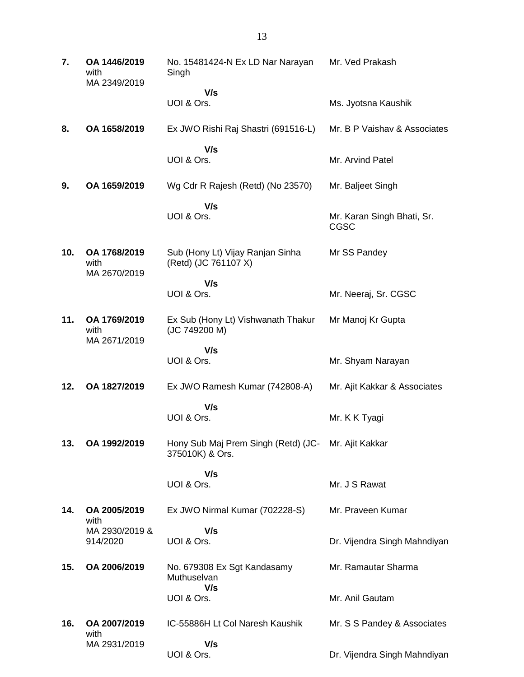| 7.  | OA 1446/2019<br>with<br>MA 2349/2019               | No. 15481424-N Ex LD Nar Narayan<br>Singh                              | Mr. Ved Prakash                           |
|-----|----------------------------------------------------|------------------------------------------------------------------------|-------------------------------------------|
|     |                                                    | V/s<br>UOI & Ors.                                                      | Ms. Jyotsna Kaushik                       |
| 8.  | OA 1658/2019                                       | Ex JWO Rishi Raj Shastri (691516-L)                                    | Mr. B P Vaishav & Associates              |
|     |                                                    | V/s<br>UOI & Ors.                                                      | Mr. Arvind Patel                          |
| 9.  | OA 1659/2019                                       | Wg Cdr R Rajesh (Retd) (No 23570)                                      | Mr. Baljeet Singh                         |
|     |                                                    | V/s<br>UOI & Ors.                                                      | Mr. Karan Singh Bhati, Sr.<br><b>CGSC</b> |
| 10. | OA 1768/2019<br>with<br>MA 2670/2019               | Sub (Hony Lt) Vijay Ranjan Sinha<br>(Retd) (JC 761107 X)               | Mr SS Pandey                              |
|     |                                                    | V/s<br>UOI & Ors.                                                      | Mr. Neeraj, Sr. CGSC                      |
| 11. | OA 1769/2019<br>with<br>MA 2671/2019               | Ex Sub (Hony Lt) Vishwanath Thakur<br>(JC 749200 M)                    | Mr Manoj Kr Gupta                         |
|     |                                                    | V/s<br>UOI & Ors.                                                      | Mr. Shyam Narayan                         |
| 12. | OA 1827/2019                                       | Ex JWO Ramesh Kumar (742808-A)                                         | Mr. Ajit Kakkar & Associates              |
|     |                                                    | V/s<br>UOI & Ors.                                                      | Mr. K K Tyagi                             |
| 13. | OA 1992/2019                                       | Hony Sub Maj Prem Singh (Retd) (JC- Mr. Ajit Kakkar<br>375010K) & Ors. |                                           |
|     |                                                    | V/s<br>UOI & Ors.                                                      | Mr. J S Rawat                             |
| 14. | OA 2005/2019<br>with<br>MA 2930/2019 &<br>914/2020 | Ex JWO Nirmal Kumar (702228-S)                                         | Mr. Praveen Kumar                         |
|     |                                                    | V/s<br>UOI & Ors.                                                      | Dr. Vijendra Singh Mahndiyan              |
| 15. | OA 2006/2019                                       | No. 679308 Ex Sgt Kandasamy<br>Muthuselvan<br>V/s                      | Mr. Ramautar Sharma                       |
|     |                                                    | UOI & Ors.                                                             | Mr. Anil Gautam                           |
| 16. | OA 2007/2019<br>with                               | IC-55886H Lt Col Naresh Kaushik                                        | Mr. S S Pandey & Associates               |
|     | MA 2931/2019                                       | V/s<br>UOI & Ors.                                                      | Dr. Vijendra Singh Mahndiyan              |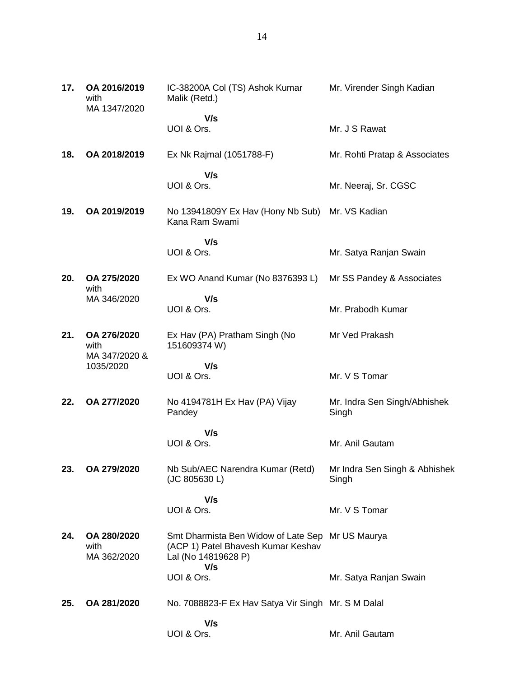| 17. | OA 2016/2019<br>with<br>MA 1347/2020              | IC-38200A Col (TS) Ashok Kumar<br>Malik (Retd.)                                                  | Mr. Virender Singh Kadian              |
|-----|---------------------------------------------------|--------------------------------------------------------------------------------------------------|----------------------------------------|
|     |                                                   | V/s<br>UOI & Ors.                                                                                | Mr. J S Rawat                          |
| 18. | OA 2018/2019                                      | Ex Nk Rajmal (1051788-F)                                                                         | Mr. Rohti Pratap & Associates          |
|     |                                                   | V/s<br>UOI & Ors.                                                                                | Mr. Neeraj, Sr. CGSC                   |
| 19. | OA 2019/2019                                      | No 13941809Y Ex Hav (Hony Nb Sub)<br>Kana Ram Swami                                              | Mr. VS Kadian                          |
|     |                                                   | V/s<br>UOI & Ors.                                                                                | Mr. Satya Ranjan Swain                 |
| 20. | OA 275/2020<br>with                               | Ex WO Anand Kumar (No 8376393 L)                                                                 | Mr SS Pandey & Associates              |
|     | MA 346/2020                                       | V/s<br>UOI & Ors.                                                                                | Mr. Prabodh Kumar                      |
| 21. | OA 276/2020<br>with<br>MA 347/2020 &<br>1035/2020 | Ex Hav (PA) Pratham Singh (No<br>151609374W)                                                     | Mr Ved Prakash                         |
|     |                                                   | V/s<br>UOI & Ors.                                                                                | Mr. V S Tomar                          |
| 22. | OA 277/2020                                       | No 4194781H Ex Hav (PA) Vijay<br>Pandey                                                          | Mr. Indra Sen Singh/Abhishek<br>Singh  |
|     |                                                   | V/s<br>UOI & Ors.                                                                                | Mr. Anil Gautam                        |
| 23. | OA 279/2020                                       | Nb Sub/AEC Narendra Kumar (Retd)<br>(JC 805630 L)                                                | Mr Indra Sen Singh & Abhishek<br>Singh |
|     |                                                   | V/s<br>UOI & Ors.                                                                                | Mr. V S Tomar                          |
| 24. | OA 280/2020<br>with<br>MA 362/2020                | Smt Dharmista Ben Widow of Late Sep<br>(ACP 1) Patel Bhavesh Kumar Keshav<br>Lal (No 14819628 P) | Mr US Maurya                           |
|     |                                                   | V/s<br>UOI & Ors.                                                                                | Mr. Satya Ranjan Swain                 |
| 25. | OA 281/2020                                       | No. 7088823-F Ex Hav Satya Vir Singh Mr. S M Dalal                                               |                                        |
|     |                                                   | V/s<br>UOI & Ors.                                                                                | Mr. Anil Gautam                        |